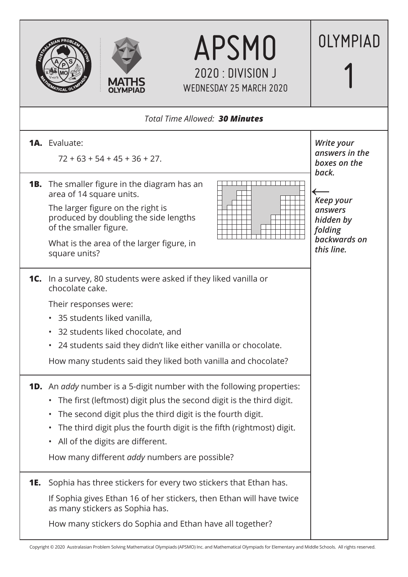| <b>APSMO</b><br>2020 : DIVISION J<br><b>MATHS</b><br><b>WEDNESDAY 25 MARCH 2020</b>                                                                                                                                                                                                                                                                                                                            | OLYMPIAD                                                                          |
|----------------------------------------------------------------------------------------------------------------------------------------------------------------------------------------------------------------------------------------------------------------------------------------------------------------------------------------------------------------------------------------------------------------|-----------------------------------------------------------------------------------|
| Total Time Allowed: 30 Minutes                                                                                                                                                                                                                                                                                                                                                                                 |                                                                                   |
| <b>1A.</b> Evaluate:<br>$72 + 63 + 54 + 45 + 36 + 27$ .                                                                                                                                                                                                                                                                                                                                                        | Write your<br>answers in the<br>boxes on the<br>back.                             |
| <b>1B.</b> The smaller figure in the diagram has an<br>area of 14 square units.<br>The larger figure on the right is<br>produced by doubling the side lengths<br>of the smaller figure.<br>What is the area of the larger figure, in<br>square units?                                                                                                                                                          | <b>Keep your</b><br>answers<br>hidden by<br>folding<br>backwards on<br>this line. |
| <b>1C.</b> In a survey, 80 students were asked if they liked vanilla or<br>chocolate cake.<br>Their responses were:<br>• 35 students liked vanilla,<br>32 students liked chocolate, and<br>24 students said they didn't like either vanilla or chocolate.<br>$\bullet$<br>How many students said they liked both vanilla and chocolate?                                                                        |                                                                                   |
| <b>1D.</b> An addy number is a 5-digit number with the following properties:<br>• The first (leftmost) digit plus the second digit is the third digit.<br>The second digit plus the third digit is the fourth digit.<br>$\bullet$<br>The third digit plus the fourth digit is the fifth (rightmost) digit.<br>$\bullet$<br>• All of the digits are different.<br>How many different addy numbers are possible? |                                                                                   |
| Sophia has three stickers for every two stickers that Ethan has.<br><b>1E.</b><br>If Sophia gives Ethan 16 of her stickers, then Ethan will have twice<br>as many stickers as Sophia has.<br>How many stickers do Sophia and Ethan have all together?                                                                                                                                                          |                                                                                   |

Copyright © 2020 Australasian Problem Solving Mathematical Olympiads (APSMO) Inc. and Mathematical Olympiads for Elementary and Middle Schools. All rights reserved.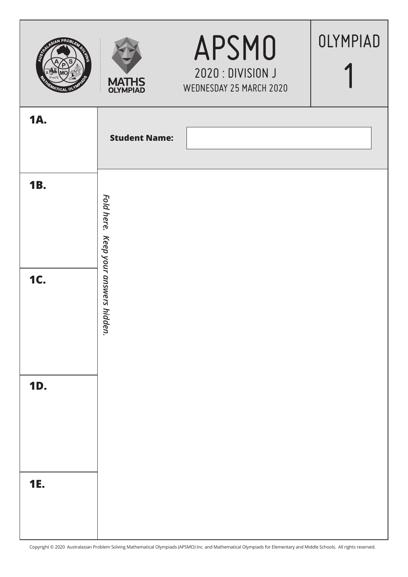| AN PROBI<br><b>RUGICAL</b><br>$\tau_{\sf ICAL}$ o' | <b>MATHS</b><br><b>OLYMPIAD</b> | APSMO<br>2020 : DIVISION J<br>WEDNESDAY 25 MARCH 2020 | OLYMPIAD |
|----------------------------------------------------|---------------------------------|-------------------------------------------------------|----------|
| <b>1A.</b>                                         | <b>Student Name:</b>            |                                                       |          |
| <b>1B.</b>                                         | Fold here.                      |                                                       |          |
| <b>1C.</b>                                         | Keep your answers hidden.       |                                                       |          |
| <b>1D.</b>                                         |                                 |                                                       |          |
| <b>1E.</b>                                         |                                 |                                                       |          |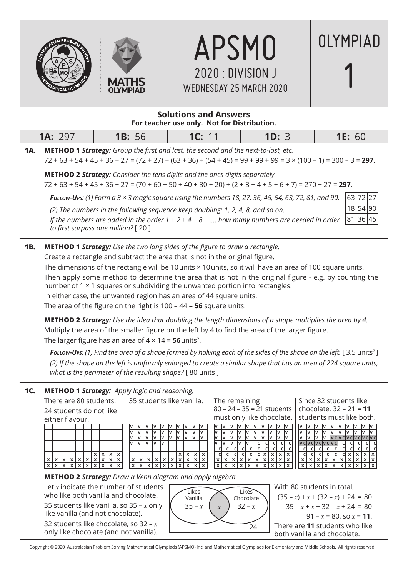



|     |                                                                                                                                                                                                                                                                                                                                                                                                                                                                                                                                                                                                                           |                                                                                                                                                                                                                                                                                                                     |                                                                                                  | $2020:$ DIVISION J<br><b>WEDNESDAY 25 MARCH 2020</b>                                                                                                                                                                              |                                                                                                                                                         |                                                                                                                                                                                                                                                                                                                                          |
|-----|---------------------------------------------------------------------------------------------------------------------------------------------------------------------------------------------------------------------------------------------------------------------------------------------------------------------------------------------------------------------------------------------------------------------------------------------------------------------------------------------------------------------------------------------------------------------------------------------------------------------------|---------------------------------------------------------------------------------------------------------------------------------------------------------------------------------------------------------------------------------------------------------------------------------------------------------------------|--------------------------------------------------------------------------------------------------|-----------------------------------------------------------------------------------------------------------------------------------------------------------------------------------------------------------------------------------|---------------------------------------------------------------------------------------------------------------------------------------------------------|------------------------------------------------------------------------------------------------------------------------------------------------------------------------------------------------------------------------------------------------------------------------------------------------------------------------------------------|
|     |                                                                                                                                                                                                                                                                                                                                                                                                                                                                                                                                                                                                                           |                                                                                                                                                                                                                                                                                                                     | <b>Solutions and Answers</b>                                                                     | For teacher use only. Not for Distribution.                                                                                                                                                                                       |                                                                                                                                                         |                                                                                                                                                                                                                                                                                                                                          |
|     | <b>1A: 297</b>                                                                                                                                                                                                                                                                                                                                                                                                                                                                                                                                                                                                            | <b>1B: 56</b>                                                                                                                                                                                                                                                                                                       | 1C: 11                                                                                           |                                                                                                                                                                                                                                   | 1D: 3                                                                                                                                                   | <b>1E: 60</b>                                                                                                                                                                                                                                                                                                                            |
| 1A. |                                                                                                                                                                                                                                                                                                                                                                                                                                                                                                                                                                                                                           | METHOD 1 Strategy: Group the first and last, the second and the next-to-last, etc.<br>$72 + 63 + 54 + 45 + 36 + 27 = (72 + 27) + (63 + 36) + (54 + 45) = 99 + 99 + 99 = 3 \times (100 - 1) = 300 - 3 = 297$ .                                                                                                       |                                                                                                  |                                                                                                                                                                                                                                   |                                                                                                                                                         |                                                                                                                                                                                                                                                                                                                                          |
|     |                                                                                                                                                                                                                                                                                                                                                                                                                                                                                                                                                                                                                           | <b>METHOD 2 Strategy:</b> Consider the tens digits and the ones digits separately.<br>$72 + 63 + 54 + 45 + 36 + 27 = (70 + 60 + 50 + 40 + 30 + 20) + (2 + 3 + 4 + 5 + 6 + 7) = 270 + 27 = 297.$                                                                                                                     |                                                                                                  |                                                                                                                                                                                                                                   |                                                                                                                                                         |                                                                                                                                                                                                                                                                                                                                          |
|     | <b>Follow-Ups:</b> (1) Form a $3 \times 3$ magic square using the numbers 18, 27, 36, 45, 54, 63, 72, 81, and 90.<br>63 72<br>18 54 90<br>(2) The numbers in the following sequence keep doubling: 1, 2, 4, 8, and so on.<br>81 36 45<br>If the numbers are added in the order $1 + 2 + 4 + 8 + $ , how many numbers are needed in order<br>to first surpass one million? [20]                                                                                                                                                                                                                                            |                                                                                                                                                                                                                                                                                                                     |                                                                                                  |                                                                                                                                                                                                                                   |                                                                                                                                                         |                                                                                                                                                                                                                                                                                                                                          |
| 1B. | <b>METHOD 1 Strategy:</b> Use the two long sides of the figure to draw a rectangle.<br>Create a rectangle and subtract the area that is not in the original figure.<br>The dimensions of the rectangle will be 10 units × 10 units, so it will have an area of 100 square units.<br>Then apply some method to determine the area that is not in the original figure - e.g. by counting the<br>number of 1 × 1 squares or subdividing the unwanted portion into rectangles.<br>In either case, the unwanted region has an area of 44 square units.<br>The area of the figure on the right is $100 - 44 = 56$ square units. |                                                                                                                                                                                                                                                                                                                     |                                                                                                  |                                                                                                                                                                                                                                   |                                                                                                                                                         |                                                                                                                                                                                                                                                                                                                                          |
|     |                                                                                                                                                                                                                                                                                                                                                                                                                                                                                                                                                                                                                           | METHOD 2 Strategy: Use the idea that doubling the length dimensions of a shape multiplies the area by 4.<br>Multiply the area of the smaller figure on the left by 4 to find the area of the larger figure.<br>The larger figure has an area of $4 \times 14 = 56$ units <sup>2</sup> .                             |                                                                                                  |                                                                                                                                                                                                                                   |                                                                                                                                                         |                                                                                                                                                                                                                                                                                                                                          |
|     |                                                                                                                                                                                                                                                                                                                                                                                                                                                                                                                                                                                                                           | Follow-Ups: (1) Find the area of a shape formed by halving each of the sides of the shape on the left. [3.5 units <sup>2</sup> ]<br>(2) If the shape on the left is uniformly enlarged to create a similar shape that has an area of 224 square units,<br>what is the perimeter of the resulting shape? [80 units ] |                                                                                                  |                                                                                                                                                                                                                                   |                                                                                                                                                         |                                                                                                                                                                                                                                                                                                                                          |
| 1C. | There are 80 students.<br>24 students do not like<br>either flavour.<br>x[x[x[x[x[x[x[x[x]]<br>x x x x x x x x x                                                                                                                                                                                                                                                                                                                                                                                                                                                                                                          | <b>METHOD 1 Strategy:</b> Apply logic and reasoning.<br>l٧<br>I٧<br>v<br>I٧<br>I۷<br>I۷<br>I۷<br><u>Iv</u><br>$V$ $V$<br>lv lv<br>I۷<br>x   x   x   x<br>$\overline{\mathbf{x}}$                                                                                                                                    | 35 students like vanilla.<br>v<br>lv<br>I٧<br>I٧<br>I۷<br>I۷<br>I۷<br>I٧<br>Iv.<br>x   x   x   x | The remaining<br>$80 - 24 - 35 = 21$ students<br>must only like chocolate.<br>lv<br>Iv.<br>l٧<br>I٧<br>lv<br>I٧<br>cl<br>-cl<br><sub>c</sub><br>cl<br><sub>c</sub><br><sub>c</sub><br>$c \mid x \mid x \mid$<br>x x x x x x x x x | I۷<br>I۷<br>Iv.<br>lv<br>I۷<br>I٧<br>I٧<br>lv<br>l٧<br>Iv<br>c c<br>cl<br>$\mathsf{C}$<br>$x \mid x$<br>x x <br>$\boldsymbol{\mathsf{x}}$<br>$x \mid x$ | Since 32 students like<br>chocolate, $32 - 21 = 11$<br>students must like both.<br>I۷<br>I۷<br>lv lv<br>I۷<br>I۷<br>lv.<br>I٧<br>Iv.<br>I۷<br>I۷<br>I٧<br>ly cly cly cly cly cly c<br>Iv.<br>I۷<br>vcvcvcvcvc<br>cl cl<br><sub>cl</sub><br><sub>cl</sub><br><sub>c</sub><br>cl<br>$c \mid x \mid$<br><sub>c</sub><br>-cl<br>-cl<br>x   x |
|     |                                                                                                                                                                                                                                                                                                                                                                                                                                                                                                                                                                                                                           | <b>METHOD 2 Strategy:</b> Draw a Venn diagram and apply algebra.                                                                                                                                                                                                                                                    |                                                                                                  |                                                                                                                                                                                                                                   |                                                                                                                                                         |                                                                                                                                                                                                                                                                                                                                          |
|     |                                                                                                                                                                                                                                                                                                                                                                                                                                                                                                                                                                                                                           | Let $x$ indicate the number of students<br>who like both vanilla and chocolate.<br>35 students like vanilla, so 35 – $x$ only<br>like vanilla (and not chocolate).<br>32 students like chocolate, so $32 - x$                                                                                                       | Likes<br>Vanilla<br>$35 - x$                                                                     | Likes<br>Chocolate<br>$32 - x$<br>$\boldsymbol{\mathcal{X}}$<br>24                                                                                                                                                                |                                                                                                                                                         | With 80 students in total,<br>$(35 - x) + x + (32 - x) + 24 = 80$<br>$35 - x + x + 32 - x + 24 = 80$<br>$91 - x = 80$ , so $x = 11$ .<br>There are 11 students who like                                                                                                                                                                  |

APSMO

OLYMPIAD

L only like chocolate (and not vanilla).

Copyright © 2020 Australasian Problem Solving Mathematical Olympiads (APSMO) Inc. and Mathematical Olympiads for Elementary and Middle Schools. All rights reserved.

both vanilla and chocolate.